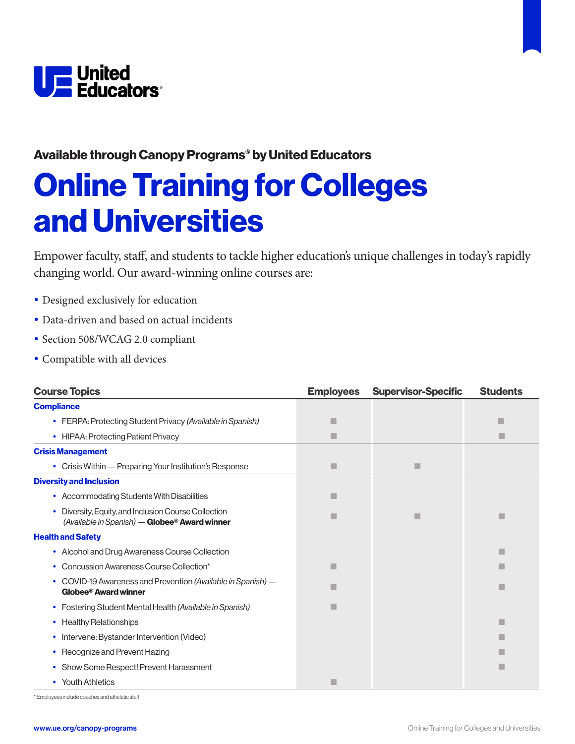

### Available through Canopy Programs® by United Educators

## Online Training for Colleges and Universities

Empower faculty, staff, and students to tackle higher education's unique challenges in today's rapidly changing world. Our award-winning online courses are:

- Designed exclusively for education
- Data-driven and based on actual incidents
- Section 508/WCAG 2.0 compliant
- Compatible with all devices

| <b>Course Topics</b>                                                                                             | <b>Employees</b> | <b>Supervisor-Specific</b> | <b>Students</b> |
|------------------------------------------------------------------------------------------------------------------|------------------|----------------------------|-----------------|
| <b>Compliance</b>                                                                                                |                  |                            |                 |
| • FERPA: Protecting Student Privacy (Available in Spanish)                                                       | п                |                            |                 |
| • HIPAA: Protecting Patient Privacy                                                                              | ٠                |                            |                 |
| <b>Crisis Management</b>                                                                                         |                  |                            |                 |
| • Crisis Within — Preparing Your Institution's Response                                                          | ٠                | п                          |                 |
| <b>Diversity and Inclusion</b>                                                                                   |                  |                            |                 |
| • Accommodating Students With Disabilities                                                                       | ш                |                            |                 |
| Diversity, Equity, and Inclusion Course Collection<br>$\bullet$<br>(Available in Spanish) - Globee® Award winner | п                |                            | ٠               |
| <b>Health and Safety</b>                                                                                         |                  |                            |                 |
| • Alcohol and Drug Awareness Course Collection                                                                   |                  |                            |                 |
| • Concussion Awareness Course Collection*                                                                        |                  |                            |                 |
| • COVID-19 Awareness and Prevention (Available in Spanish) —<br>Globee <sup>®</sup> Award winner                 |                  |                            | п               |
| • Fostering Student Mental Health (Available in Spanish)                                                         | п                |                            |                 |
| • Healthy Relationships                                                                                          |                  |                            | ш               |
| • Intervene: Bystander Intervention (Video)                                                                      |                  |                            |                 |
| • Recognize and Prevent Hazing                                                                                   |                  |                            |                 |
| • Show Some Respect! Prevent Harassment                                                                          |                  |                            |                 |
| • Youth Athletics                                                                                                | п                |                            |                 |

\* Employees include coaches and atheletic staff